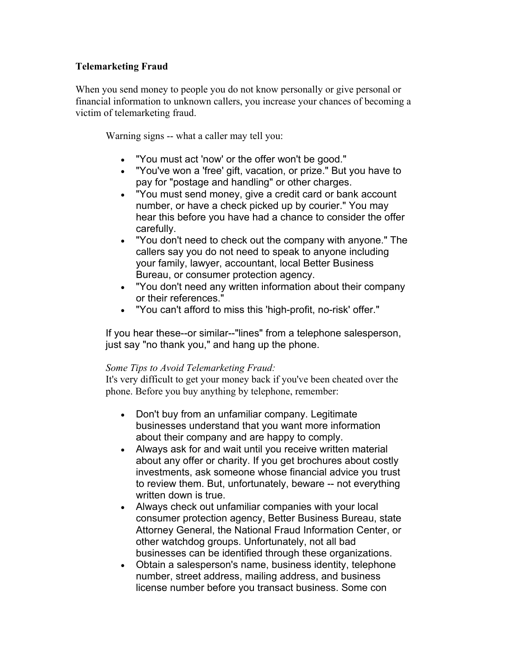## **Telemarketing Fraud**

When you send money to people you do not know personally or give personal or financial information to unknown callers, you increase your chances of becoming a victim of telemarketing fraud.

Warning signs -- what a caller may tell you:

- "You must act 'now' or the offer won't be good."
- "You've won a 'free' gift, vacation, or prize." But you have to pay for "postage and handling" or other charges.
- "You must send money, give a credit card or bank account number, or have a check picked up by courier." You may hear this before you have had a chance to consider the offer carefully.
- "You don't need to check out the company with anyone." The callers say you do not need to speak to anyone including your family, lawyer, accountant, local Better Business Bureau, or consumer protection agency.
- "You don't need any written information about their company or their references."
- "You can't afford to miss this 'high-profit, no-risk' offer."

If you hear these--or similar--"lines" from a telephone salesperson, just say "no thank you," and hang up the phone.

## *Some Tips to Avoid Telemarketing Fraud:*

It's very difficult to get your money back if you've been cheated over the phone. Before you buy anything by telephone, remember:

- Don't buy from an unfamiliar company. Legitimate businesses understand that you want more information about their company and are happy to comply.
- Always ask for and wait until you receive written material about any offer or charity. If you get brochures about costly investments, ask someone whose financial advice you trust to review them. But, unfortunately, beware -- not everything written down is true.
- Always check out unfamiliar companies with your local consumer protection agency, Better Business Bureau, state Attorney General, the National Fraud Information Center, or other watchdog groups. Unfortunately, not all bad businesses can be identified through these organizations.
- Obtain a salesperson's name, business identity, telephone number, street address, mailing address, and business license number before you transact business. Some con